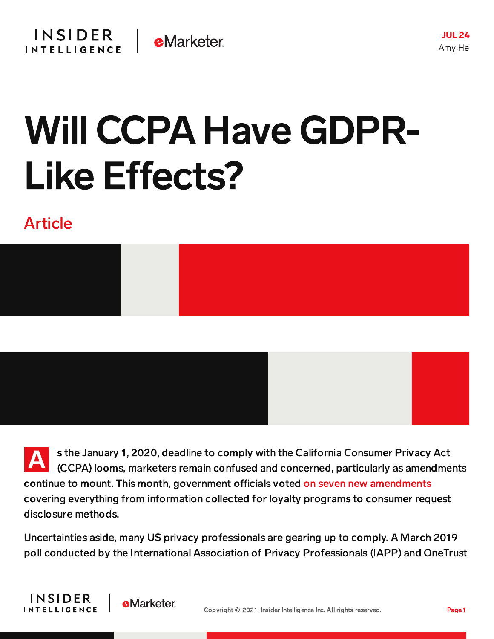JUL24 Amy He

## Will CCPA Have GDPR-Like Effects?

## Article



A s the January 1, 2020, deadline to comply with the California Consumer Privacy Act (CCPA) looms, marketers remain confused and concerned, particularly as amendments continue to mount. This month, government officials voted on seven new [amendments](https://www.adlawaccess.com/2019/07/articles/california-senate-committee-blesses-majority-of-ccpa-amendments/) covering everything from information collected for loyalty programs to consumer request disclosure methods.

Uncertainties aside, many US privacy professionals are gearing up to comply. A March 2019 poll conducted by the International Association of Privacy Professionals (IAPP) and OneTrust



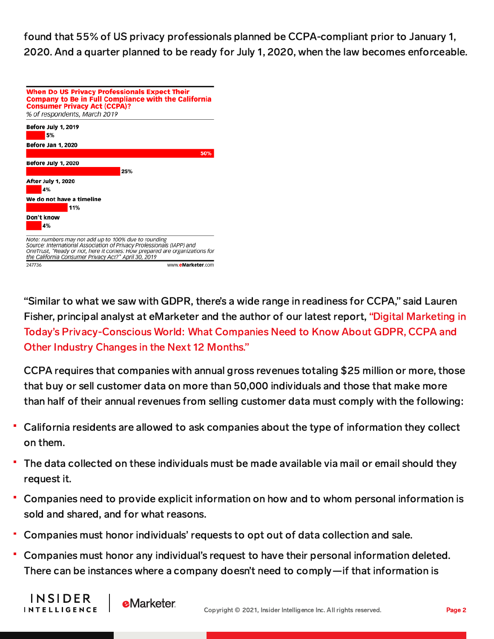found that 55% of US privacy professionals planned be CCPA-compliant prior to January 1, 2020. And a quarter planned to be ready for July 1, 2020, when the law becomes enforceable.

| <b>When Do US Privacy Professionals Expect Their</b><br><b>Company to Be in Full Compliance with the California</b><br><b>Consumer Privacy Act (CCPA)?</b><br>% of respondents, March 2019                                                                          |
|---------------------------------------------------------------------------------------------------------------------------------------------------------------------------------------------------------------------------------------------------------------------|
| Before July 1, 2019<br>5%                                                                                                                                                                                                                                           |
| Before Jan 1, 2020                                                                                                                                                                                                                                                  |
| 50%                                                                                                                                                                                                                                                                 |
| Before July 1, 2020                                                                                                                                                                                                                                                 |
| 25%                                                                                                                                                                                                                                                                 |
| After July 1, 2020<br>4%                                                                                                                                                                                                                                            |
| We do not have a timeline                                                                                                                                                                                                                                           |
| 11%                                                                                                                                                                                                                                                                 |
| Don't know<br>4%                                                                                                                                                                                                                                                    |
| Note: numbers may not add up to 100% due to rounding<br>Source: International Association of Privacy Professionals (IAPP) and<br>OneTrust, "Ready or not, here it comes: How prepared are organizations for<br>the California Consumer Privacy Act?" April 30, 2019 |
| www.eMarketer.com<br>247736                                                                                                                                                                                                                                         |

"Similar to what we saw with GDPR, there's a wide range in readiness for CCPA," said Lauren Fisher, principal analyst at eMarketer and the author of our latest report, "Digital Marketing in Today's Privacy-Conscious World: What Companies Need to Know About GDPR, CCPA and Other Industry Changes in the Next 12 Months."

CCPA requires that companies with annual gross revenues totaling \$25 million or more, those that buy or sell customer data on more than 50,000 individuals and those that make more than half of their annual revenues from selling customer data must comply with the following:

- California residents are allowed to ask companies about the type of information they collect on them.
- The data collected on these individuals must be made available via mail or email should they request it.
- Companies need to provide explicit information on how and to whom personal information is sold and shared, and for what reasons.
- Companies must honor individuals' requests to opt out of data collection and sale.
- Companies must honor any individual's request to have their personal information deleted. There can be instances where a company doesn't need to comply—if that information is

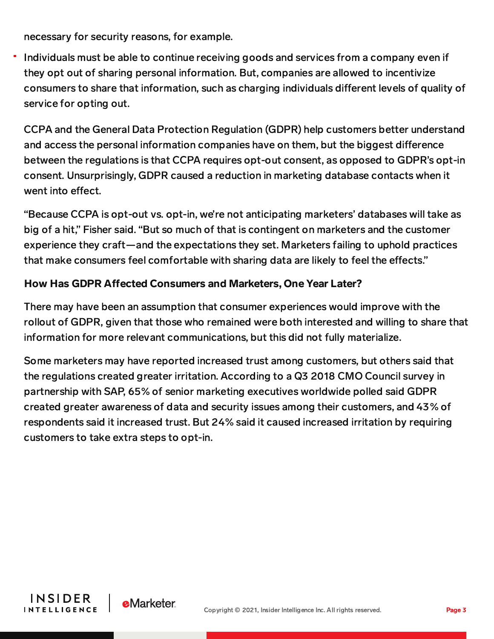necessary for security reasons, for example.

Individuals must be able to continue receiving goods and services from a company even if they opt out of sharing personal information. But, companies are allowed to incentivize consumers to share that information, such as charging individuals different levels of quality of service for opting out.

CCPA and the General Data Protection Regulation (GDPR) help customers better understand and access the personal information companies have on them, but the biggest difference between the regulations is that CCPA requires opt-out consent, as opposed to GDPR's opt-in consent. Unsurprisingly, GDPR caused a reduction in marketing database contacts when it went into effect.

"Because CCPA is opt-out vs. opt-in, we're not anticipating marketers' databases will take as big of a hit," Fisher said. "But so much of that is contingent on marketers and the customer experience they craft—and the expectations they set. Marketers failing to uphold practices that make consumers feel comfortable with sharing data are likely to feel the effects."

## How Has GDPR Affected Consumers and Marketers, One Year Later?

There may have been an assumption that consumer experiences would improve with the rollout of GDPR, given that those who remained were both interested and willing to share that information for more relevant communications, but this did not fully materialize.

Some marketers may have reported increased trust among customers, but others said that the regulations created greater irritation. According to a Q3 2018 CMO Council survey in partnership with SAP, 65% of senior marketing executives worldwide polled said GDPR created greater awareness of data and security issues among their customers, and 43% of respondents said it increased trust. But 24% said it caused increased irritation by requiring customers to take extra steps to opt-in.



**e**Marketer

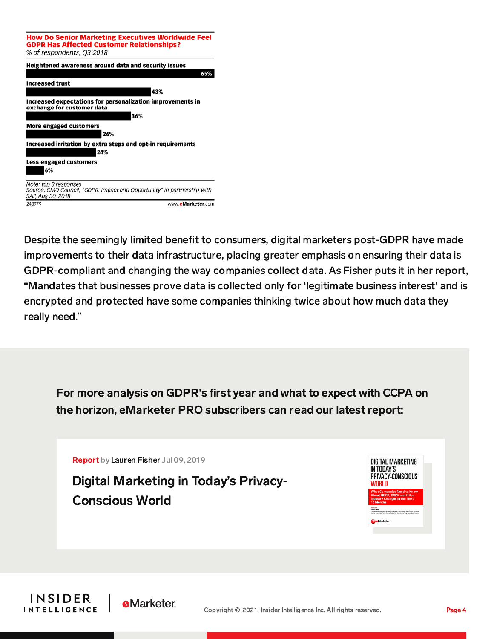**How Do Senior Marketing Executives Worldwide Feel GDPR Has Affected Customer Relationships?** % of respondents, Q3 2018 Heightened awareness around data and security issues 65% **Increased trust** 43% Increased expectations for personalization improvements in

exchange for customer data 36% More engaged customers 26% Increased irritation by extra steps and opt-in requirements 24% **Less engaged customers** 6% Note: top 3 responses Source: CMO Council, "GDPR: Impact and Opportunity" in partnership with SAP, Aug 30, 2018 240979 www.eMarketer.com

Despite the seemingly limited benefit to consumers, digital marketers post-GDPR have made improvements to their data infrastructure, placing greater emphasis on ensuring their data is GDPR-compliant and changing the way companies collect data. As Fisher puts it in her report, "Mandates that businesses prove data is collected only for 'legitimate business interest' and is encrypted and protected have some companies thinking twice about how much data they really need."

For more analysis on GDPR's first year and what to expect with CCPA on the horizon, eMarketer PRO subscribers can read our latestreport:

[Report](https://www.emarketer.com/content/digital-marketing-in-todays-privacy-conscious-world) by Lauren Fisher Jul 09, 2019

Digital Marketing in Today's Privacy-[Conscious](https://www.emarketer.com/content/digital-marketing-in-todays-privacy-conscious-world) World